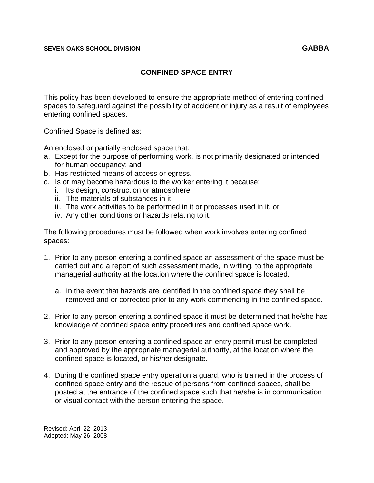### **SEVEN OAKS SCHOOL DIVISION GABBA**

# **CONFINED SPACE ENTRY**

This policy has been developed to ensure the appropriate method of entering confined spaces to safeguard against the possibility of accident or injury as a result of employees entering confined spaces.

Confined Space is defined as:

An enclosed or partially enclosed space that:

- a. Except for the purpose of performing work, is not primarily designated or intended for human occupancy; and
- b. Has restricted means of access or egress.
- c. Is or may become hazardous to the worker entering it because:
	- i. Its design, construction or atmosphere
	- ii. The materials of substances in it
	- iii. The work activities to be performed in it or processes used in it, or
	- iv. Any other conditions or hazards relating to it.

The following procedures must be followed when work involves entering confined spaces:

- 1. Prior to any person entering a confined space an assessment of the space must be carried out and a report of such assessment made, in writing, to the appropriate managerial authority at the location where the confined space is located.
	- a. In the event that hazards are identified in the confined space they shall be removed and or corrected prior to any work commencing in the confined space.
- 2. Prior to any person entering a confined space it must be determined that he/she has knowledge of confined space entry procedures and confined space work.
- 3. Prior to any person entering a confined space an entry permit must be completed and approved by the appropriate managerial authority, at the location where the confined space is located, or his/her designate.
- 4. During the confined space entry operation a guard, who is trained in the process of confined space entry and the rescue of persons from confined spaces, shall be posted at the entrance of the confined space such that he/she is in communication or visual contact with the person entering the space.

Revised: April 22, 2013 Adopted: May 26, 2008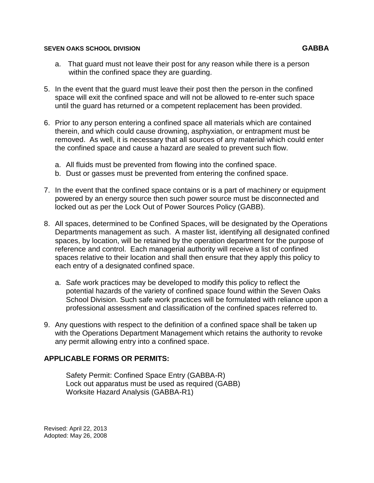#### **SEVEN OAKS SCHOOL DIVISION GABBA**

- a. That guard must not leave their post for any reason while there is a person within the confined space they are guarding.
- 5. In the event that the guard must leave their post then the person in the confined space will exit the confined space and will not be allowed to re-enter such space until the guard has returned or a competent replacement has been provided.
- 6. Prior to any person entering a confined space all materials which are contained therein, and which could cause drowning, asphyxiation, or entrapment must be removed. As well, it is necessary that all sources of any material which could enter the confined space and cause a hazard are sealed to prevent such flow.
	- a. All fluids must be prevented from flowing into the confined space.
	- b. Dust or gasses must be prevented from entering the confined space.
- 7. In the event that the confined space contains or is a part of machinery or equipment powered by an energy source then such power source must be disconnected and locked out as per the Lock Out of Power Sources Policy (GABB).
- 8. All spaces, determined to be Confined Spaces, will be designated by the Operations Departments management as such. A master list, identifying all designated confined spaces, by location, will be retained by the operation department for the purpose of reference and control. Each managerial authority will receive a list of confined spaces relative to their location and shall then ensure that they apply this policy to each entry of a designated confined space.
	- a. Safe work practices may be developed to modify this policy to reflect the potential hazards of the variety of confined space found within the Seven Oaks School Division. Such safe work practices will be formulated with reliance upon a professional assessment and classification of the confined spaces referred to.
- 9. Any questions with respect to the definition of a confined space shall be taken up with the Operations Department Management which retains the authority to revoke any permit allowing entry into a confined space.

# **APPLICABLE FORMS OR PERMITS:**

Safety Permit: Confined Space Entry (GABBA-R) Lock out apparatus must be used as required (GABB) Worksite Hazard Analysis (GABBA-R1)

Revised: April 22, 2013 Adopted: May 26, 2008